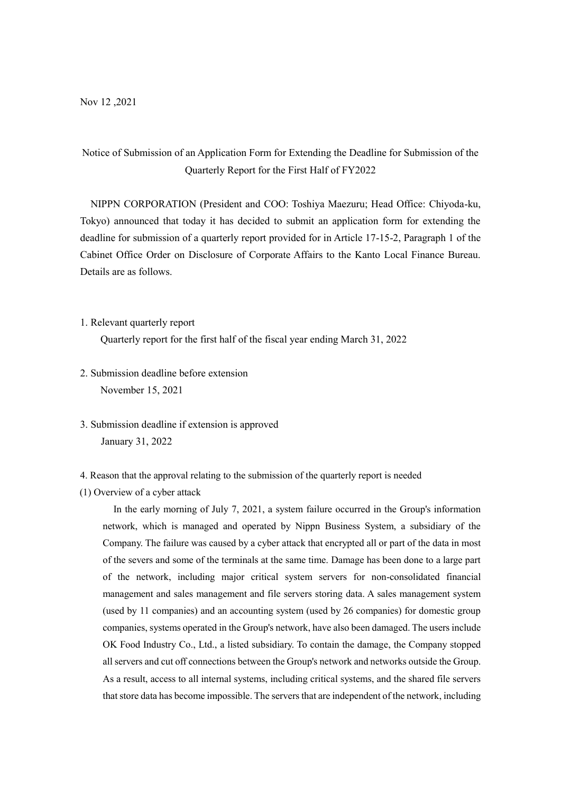# Notice of Submission of an Application Form for Extending the Deadline for Submission of the Quarterly Report for the First Half of FY2022

NIPPN CORPORATION (President and COO: Toshiya Maezuru; Head Office: Chiyoda-ku, Tokyo) announced that today it has decided to submit an application form for extending the deadline for submission of a quarterly report provided for in Article 17-15-2, Paragraph 1 of the Cabinet Office Order on Disclosure of Corporate Affairs to the Kanto Local Finance Bureau. Details are as follows.

1. Relevant quarterly report

Quarterly report for the first half of the fiscal year ending March 31, 2022

- 2. Submission deadline before extension November 15, 2021
- 3. Submission deadline if extension is approved January 31, 2022
- 4. Reason that the approval relating to the submission of the quarterly report is needed
- (1) Overview of a cyber attack

In the early morning of July 7, 2021, a system failure occurred in the Group's information network, which is managed and operated by Nippn Business System, a subsidiary of the Company. The failure was caused by a cyber attack that encrypted all or part of the data in most of the severs and some of the terminals at the same time. Damage has been done to a large part of the network, including major critical system servers for non-consolidated financial management and sales management and file servers storing data. A sales management system (used by 11 companies) and an accounting system (used by 26 companies) for domestic group companies, systems operated in the Group's network, have also been damaged. The users include OK Food Industry Co., Ltd., a listed subsidiary. To contain the damage, the Company stopped all servers and cut off connections between the Group's network and networks outside the Group. As a result, access to all internal systems, including critical systems, and the shared file servers that store data has become impossible. The servers that are independent of the network, including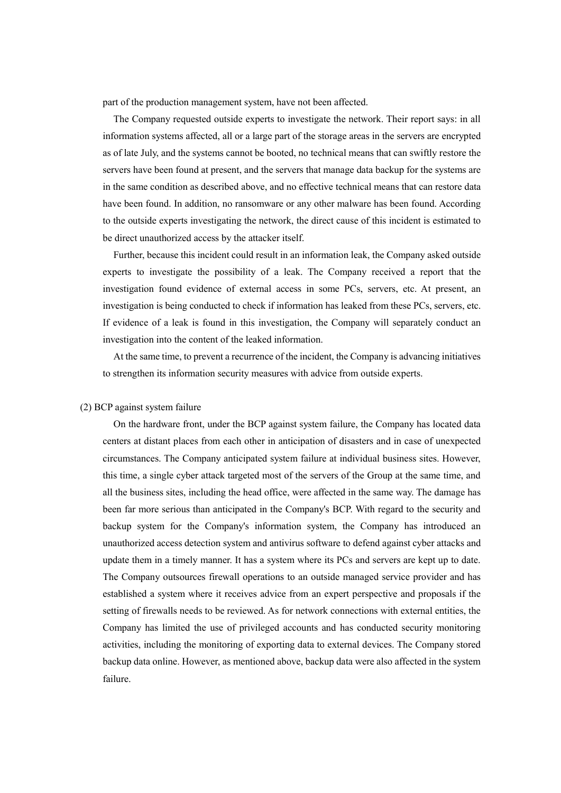part of the production management system, have not been affected.

The Company requested outside experts to investigate the network. Their report says: in all information systems affected, all or a large part of the storage areas in the servers are encrypted as of late July, and the systems cannot be booted, no technical means that can swiftly restore the servers have been found at present, and the servers that manage data backup for the systems are in the same condition as described above, and no effective technical means that can restore data have been found. In addition, no ransomware or any other malware has been found. According to the outside experts investigating the network, the direct cause of this incident is estimated to be direct unauthorized access by the attacker itself.

Further, because this incident could result in an information leak, the Company asked outside experts to investigate the possibility of a leak. The Company received a report that the investigation found evidence of external access in some PCs, servers, etc. At present, an investigation is being conducted to check if information has leaked from these PCs, servers, etc. If evidence of a leak is found in this investigation, the Company will separately conduct an investigation into the content of the leaked information.

At the same time, to prevent a recurrence of the incident, the Company is advancing initiatives to strengthen its information security measures with advice from outside experts.

## (2) BCP against system failure

On the hardware front, under the BCP against system failure, the Company has located data centers at distant places from each other in anticipation of disasters and in case of unexpected circumstances. The Company anticipated system failure at individual business sites. However, this time, a single cyber attack targeted most of the servers of the Group at the same time, and all the business sites, including the head office, were affected in the same way. The damage has been far more serious than anticipated in the Company's BCP. With regard to the security and backup system for the Company's information system, the Company has introduced an unauthorized access detection system and antivirus software to defend against cyber attacks and update them in a timely manner. It has a system where its PCs and servers are kept up to date. The Company outsources firewall operations to an outside managed service provider and has established a system where it receives advice from an expert perspective and proposals if the setting of firewalls needs to be reviewed. As for network connections with external entities, the Company has limited the use of privileged accounts and has conducted security monitoring activities, including the monitoring of exporting data to external devices. The Company stored backup data online. However, as mentioned above, backup data were also affected in the system failure.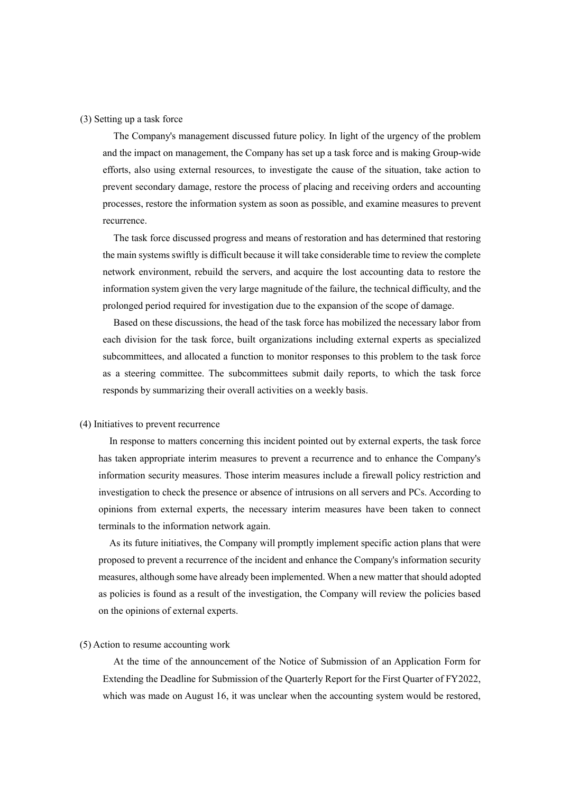## (3) Setting up a task force

The Company's management discussed future policy. In light of the urgency of the problem and the impact on management, the Company has set up a task force and is making Group-wide efforts, also using external resources, to investigate the cause of the situation, take action to prevent secondary damage, restore the process of placing and receiving orders and accounting processes, restore the information system as soon as possible, and examine measures to prevent recurrence.

The task force discussed progress and means of restoration and has determined that restoring the main systems swiftly is difficult because it will take considerable time to review the complete network environment, rebuild the servers, and acquire the lost accounting data to restore the information system given the very large magnitude of the failure, the technical difficulty, and the prolonged period required for investigation due to the expansion of the scope of damage.

Based on these discussions, the head of the task force has mobilized the necessary labor from each division for the task force, built organizations including external experts as specialized subcommittees, and allocated a function to monitor responses to this problem to the task force as a steering committee. The subcommittees submit daily reports, to which the task force responds by summarizing their overall activities on a weekly basis.

#### (4) Initiatives to prevent recurrence

In response to matters concerning this incident pointed out by external experts, the task force has taken appropriate interim measures to prevent a recurrence and to enhance the Company's information security measures. Those interim measures include a firewall policy restriction and investigation to check the presence or absence of intrusions on all servers and PCs. According to opinions from external experts, the necessary interim measures have been taken to connect terminals to the information network again.

As its future initiatives, the Company will promptly implement specific action plans that were proposed to prevent a recurrence of the incident and enhance the Company's information security measures, although some have already been implemented. When a new matter that should adopted as policies is found as a result of the investigation, the Company will review the policies based on the opinions of external experts.

# (5) Action to resume accounting work

At the time of the announcement of the Notice of Submission of an Application Form for Extending the Deadline for Submission of the Quarterly Report for the First Quarter of FY2022, which was made on August 16, it was unclear when the accounting system would be restored,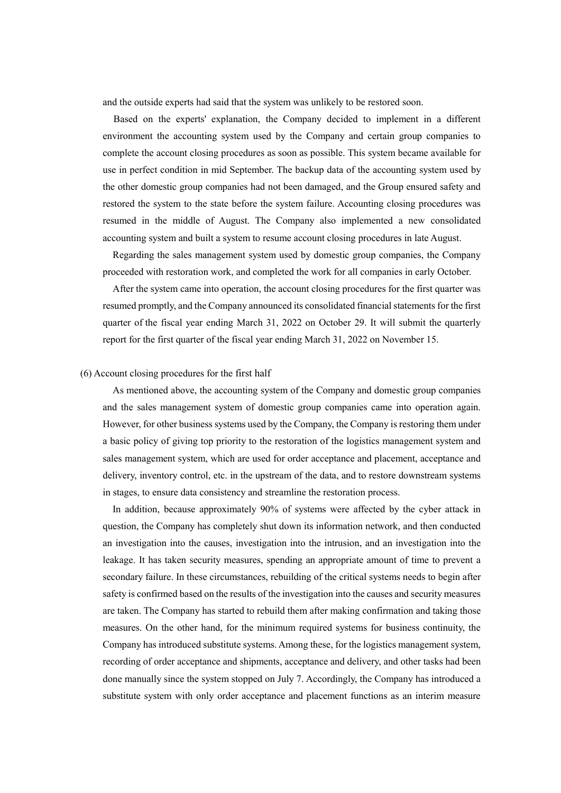and the outside experts had said that the system was unlikely to be restored soon.

Based on the experts' explanation, the Company decided to implement in a different environment the accounting system used by the Company and certain group companies to complete the account closing procedures as soon as possible. This system became available for use in perfect condition in mid September. The backup data of the accounting system used by the other domestic group companies had not been damaged, and the Group ensured safety and restored the system to the state before the system failure. Accounting closing procedures was resumed in the middle of August. The Company also implemented a new consolidated accounting system and built a system to resume account closing procedures in late August.

Regarding the sales management system used by domestic group companies, the Company proceeded with restoration work, and completed the work for all companies in early October.

After the system came into operation, the account closing procedures for the first quarter was resumed promptly, and the Company announced its consolidated financial statements for the first quarter of the fiscal year ending March 31, 2022 on October 29. It will submit the quarterly report for the first quarter of the fiscal year ending March 31, 2022 on November 15.

#### (6) Account closing procedures for the first half

As mentioned above, the accounting system of the Company and domestic group companies and the sales management system of domestic group companies came into operation again. However, for other business systems used by the Company, the Company is restoring them under a basic policy of giving top priority to the restoration of the logistics management system and sales management system, which are used for order acceptance and placement, acceptance and delivery, inventory control, etc. in the upstream of the data, and to restore downstream systems in stages, to ensure data consistency and streamline the restoration process.

In addition, because approximately 90% of systems were affected by the cyber attack in question, the Company has completely shut down its information network, and then conducted an investigation into the causes, investigation into the intrusion, and an investigation into the leakage. It has taken security measures, spending an appropriate amount of time to prevent a secondary failure. In these circumstances, rebuilding of the critical systems needs to begin after safety is confirmed based on the results of the investigation into the causes and security measures are taken. The Company has started to rebuild them after making confirmation and taking those measures. On the other hand, for the minimum required systems for business continuity, the Company has introduced substitute systems. Among these, for the logistics management system, recording of order acceptance and shipments, acceptance and delivery, and other tasks had been done manually since the system stopped on July 7. Accordingly, the Company has introduced a substitute system with only order acceptance and placement functions as an interim measure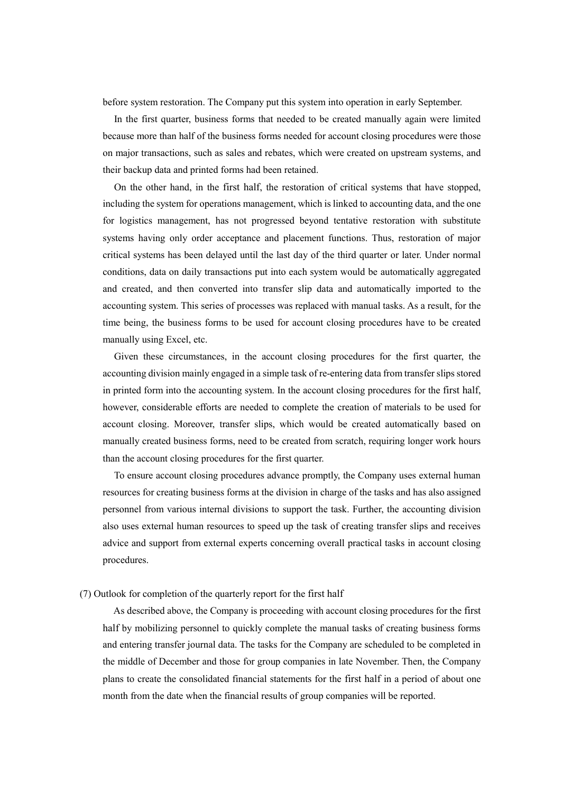before system restoration. The Company put this system into operation in early September.

In the first quarter, business forms that needed to be created manually again were limited because more than half of the business forms needed for account closing procedures were those on major transactions, such as sales and rebates, which were created on upstream systems, and their backup data and printed forms had been retained.

On the other hand, in the first half, the restoration of critical systems that have stopped, including the system for operations management, which is linked to accounting data, and the one for logistics management, has not progressed beyond tentative restoration with substitute systems having only order acceptance and placement functions. Thus, restoration of major critical systems has been delayed until the last day of the third quarter or later. Under normal conditions, data on daily transactions put into each system would be automatically aggregated and created, and then converted into transfer slip data and automatically imported to the accounting system. This series of processes was replaced with manual tasks. As a result, for the time being, the business forms to be used for account closing procedures have to be created manually using Excel, etc.

Given these circumstances, in the account closing procedures for the first quarter, the accounting division mainly engaged in a simple task of re-entering data from transfer slips stored in printed form into the accounting system. In the account closing procedures for the first half, however, considerable efforts are needed to complete the creation of materials to be used for account closing. Moreover, transfer slips, which would be created automatically based on manually created business forms, need to be created from scratch, requiring longer work hours than the account closing procedures for the first quarter.

To ensure account closing procedures advance promptly, the Company uses external human resources for creating business forms at the division in charge of the tasks and has also assigned personnel from various internal divisions to support the task. Further, the accounting division also uses external human resources to speed up the task of creating transfer slips and receives advice and support from external experts concerning overall practical tasks in account closing procedures.

# (7) Outlook for completion of the quarterly report for the first half

As described above, the Company is proceeding with account closing procedures for the first half by mobilizing personnel to quickly complete the manual tasks of creating business forms and entering transfer journal data. The tasks for the Company are scheduled to be completed in the middle of December and those for group companies in late November. Then, the Company plans to create the consolidated financial statements for the first half in a period of about one month from the date when the financial results of group companies will be reported.